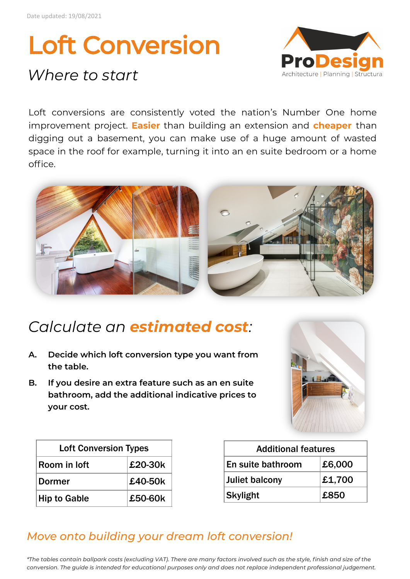# Loft Conversion

## *Where to start*



Loft conversions are consistently voted the nation's Number One home improvement project. **Easier** than building an extension and **cheaper** than digging out a basement, you can make use of a huge amount of wasted space in the roof for example, turning it into an en suite bedroom or a home office.



## *Calculate an estimated cost:*

- **A. Decide which loft conversion type you want from the table.**
- **B. If you desire an extra feature such as an en suite bathroom, add the additional indicative prices to your cost.**



| <b>Loft Conversion Types</b> |         |
|------------------------------|---------|
| Room in Joft                 | £20-30k |
| <b>Dormer</b>                | £40-50k |
| <b>Hip to Gable</b>          | £50-60k |

| <b>Additional features</b> |        |
|----------------------------|--------|
| <b>En suite bathroom</b>   | £6,000 |
| Juliet balcony             | £1,700 |
| Skylight                   | £850   |

#### *Move onto building your dream loft conversion!*

*\*The tables contain ballpark costs (excluding VAT). There are many factors involved such as the style, finish and size of the conversion. The guide is intended for educational purposes only and does not replace independent professional judgement.*